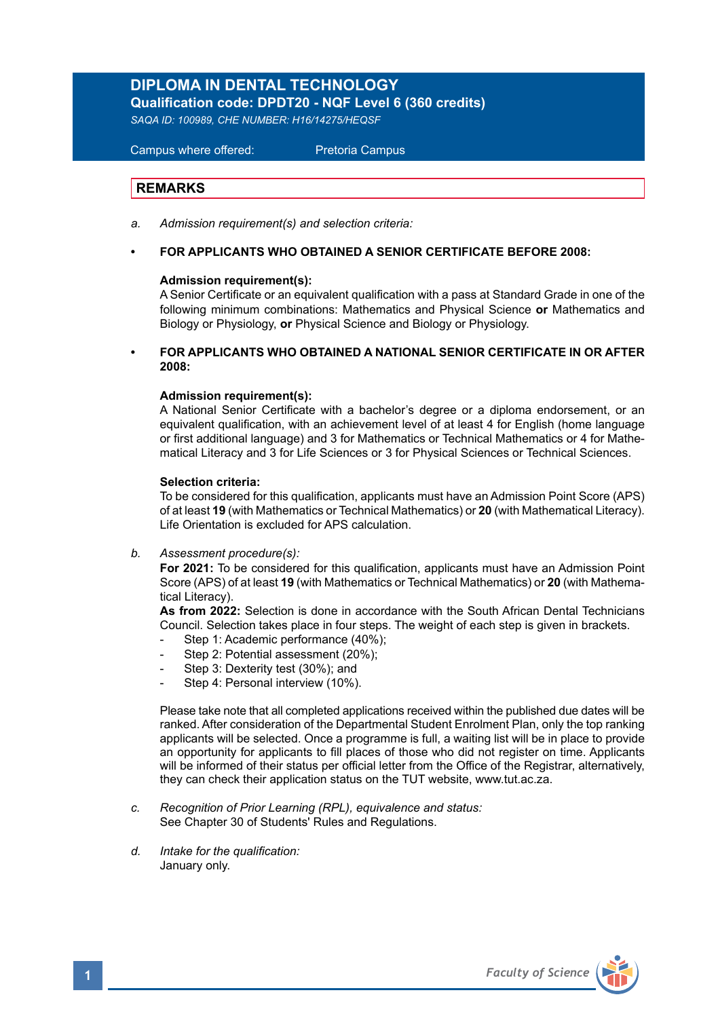# **DIPLOMA IN DENTAL TECHNOLOGY**

**Qualification code: DPDT20 - NQF Level 6 (360 credits)** 

*SAQA ID: 100989, CHE NUMBER: H16/14275/HEQSF* 

 Campus where offered: Pretoria Campus

### **REMARKS**

- *a. Admission requirement(s) and selection criteria:*
- **FOR APPLICANTS WHO OBTAINED A SENIOR CERTIFICATE BEFORE 2008:**

### **Admission requirement(s):**

A Senior Certificate or an equivalent qualification with a pass at Standard Grade in one of the following minimum combinations: Mathematics and Physical Science **or** Mathematics and Biology or Physiology, **or** Physical Science and Biology or Physiology.

**• FOR APPLICANTS WHO OBTAINED A NATIONAL SENIOR CERTIFICATE IN OR AFTER 2008:**

### **Admission requirement(s):**

A National Senior Certificate with a bachelor's degree or a diploma endorsement, or an equivalent qualification, with an achievement level of at least 4 for English (home language or first additional language) and 3 for Mathematics or Technical Mathematics or 4 for Mathematical Literacy and 3 for Life Sciences or 3 for Physical Sciences or Technical Sciences.

### **Selection criteria:**

To be considered for this qualification, applicants must have an Admission Point Score (APS) of at least **19** (with Mathematics or Technical Mathematics) or **20** (with Mathematical Literacy). Life Orientation is excluded for APS calculation.

*b. Assessment procedure(s):*

**For 2021:** To be considered for this qualification, applicants must have an Admission Point Score (APS) of at least **19** (with Mathematics or Technical Mathematics) or **20** (with Mathematical Literacy).

**As from 2022:** Selection is done in accordance with the South African Dental Technicians Council. Selection takes place in four steps. The weight of each step is given in brackets.

- Step 1: Academic performance (40%);
- Step 2: Potential assessment (20%);
- Step 3: Dexterity test (30%); and
- Step 4: Personal interview (10%).

Please take note that all completed applications received within the published due dates will be ranked. After consideration of the Departmental Student Enrolment Plan, only the top ranking applicants will be selected. Once a programme is full, a waiting list will be in place to provide an opportunity for applicants to fill places of those who did not register on time. Applicants will be informed of their status per official letter from the Office of the Registrar, alternatively, they can check their application status on the TUT website, www.tut.ac.za.

- *c. Recognition of Prior Learning (RPL), equivalence and status:* See Chapter 30 of Students' Rules and Regulations.
- *d. Intake for the qualification:* January only.

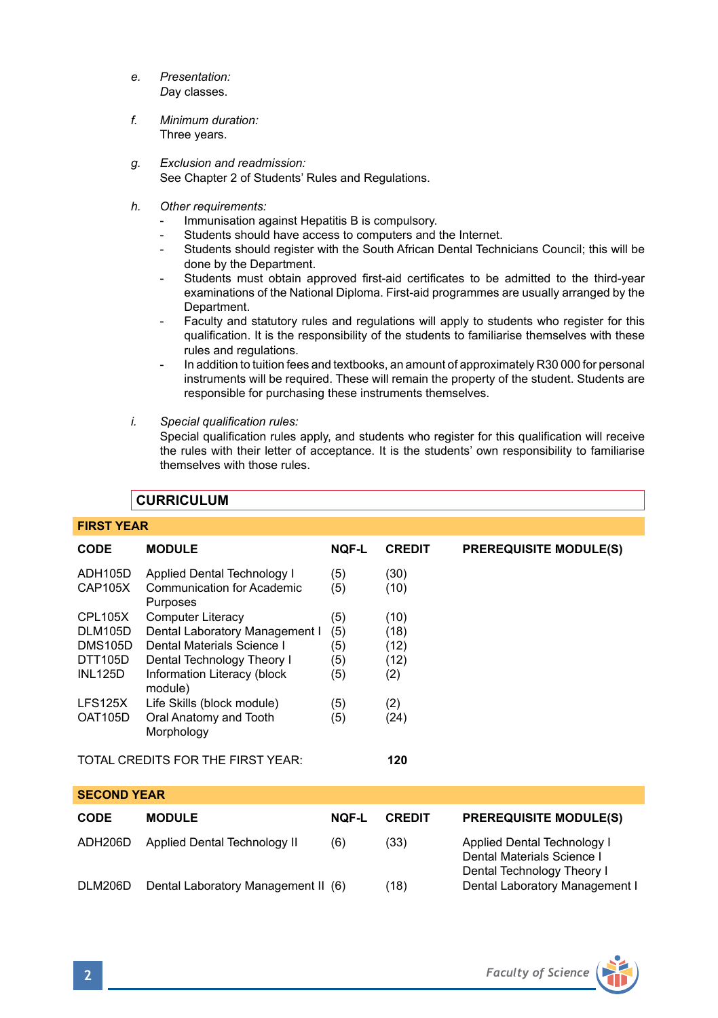- *e. Presentation: D*ay classes.
- *f. Minimum duration:* Three years.
- *g. Exclusion and readmission:* See Chapter 2 of Students' Rules and Regulations.
- *h. Other requirements:* 
	- Immunisation against Hepatitis B is compulsory.
	- Students should have access to computers and the Internet.
	- Students should register with the South African Dental Technicians Council; this will be done by the Department.
	- Students must obtain approved first-aid certificates to be admitted to the third-year examinations of the National Diploma. First-aid programmes are usually arranged by the Department.
	- Faculty and statutory rules and regulations will apply to students who register for this qualification. It is the responsibility of the students to familiarise themselves with these rules and regulations.
	- In addition to tuition fees and textbooks, an amount of approximately R30 000 for personal instruments will be required. These will remain the property of the student. Students are responsible for purchasing these instruments themselves.
- *i. Special qualification rules:*

Special qualification rules apply, and students who register for this qualification will receive the rules with their letter of acceptance. It is the students' own responsibility to familiarise themselves with those rules.

### **CURRICULUM**

# **FIRST YEAR CODE MODULE NQF-L CREDIT PREREQUISITE MODULE(S)** ADH105D Applied Dental Technology I (5) (30)<br>CAP105X Communication for Academic (5) (10) Communication for Academic Purposes CPL105X Computer Literacy (5) (10) DLM105D Dental Laboratory Management I (5) (18)<br>DMS105D Dental Materials Science I (5) (12) DMS105D Dental Materials Science I (5) (12)<br>DTT105D Dental Technology Theory I (5) (12) DTT105D Dental Technology Theory I (5) (12)<br>INL125D Information Literacy (block (5) (2) Information Literacy (block  $(5)$  (2) module) LFS125X Life Skills (block module) (5) (2)<br>OAT105D Oral Anatomy and Tooth (5) (24) Oral Anatomy and Tooth Morphology TOTAL CREDITS FOR THE FIRST YEAR: **120 SECOND YEAR CODE MODULE NQF-L CREDIT PREREQUISITE MODULE(S)** ADH206D Applied Dental Technology II (6) (33) Applied Dental Technology I Dental Materials Science I

DLM206D Dental Laboratory Management II (6) (18)



Dental Technology Theory I<br>Dental Laboratory Management I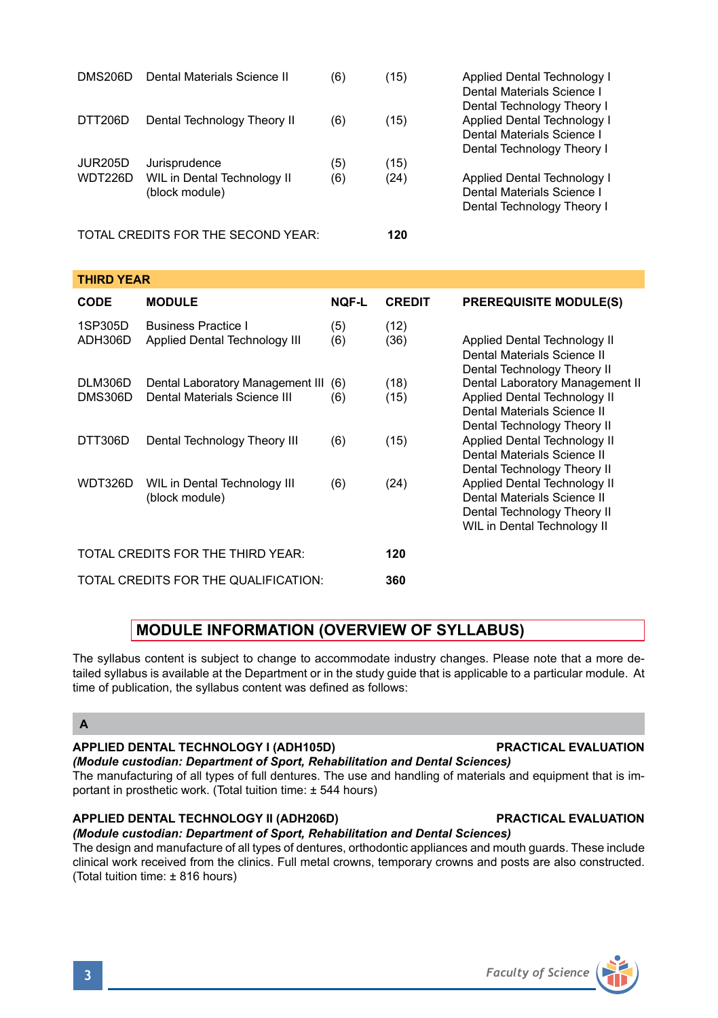| <b>APPLIED DENTAL TECHNOLOGY I (ADH105D)</b>                                                                                                                                                                                                                 | <b>PRACTICAL EVALUATION</b> |
|--------------------------------------------------------------------------------------------------------------------------------------------------------------------------------------------------------------------------------------------------------------|-----------------------------|
| (Module custodian: Department of Sport, Rehabilitation and Dental Sciences)<br>The manufacturing of all types of full dentures. The use and handling of materials and equipment that is im-<br>portant in prosthetic work. (Total tuition time: ± 544 hours) |                             |
| APPLIED DENTAL TECHNOLOGY II (ADH206D)                                                                                                                                                                                                                       | <b>PRACTICAL EVALUATION</b> |
| (Module custodian: Department of Sport, Rehabilitation and Dental Sciences)                                                                                                                                                                                  |                             |
| The design and manufacture of all types of dentures, orthodontic appliances and mouth quards. These include                                                                                                                                                  |                             |
| clinical work received from the clinics. Full metal crowns, temporary crowns and posts are also constructed.                                                                                                                                                 |                             |
|                                                                                                                                                                                                                                                              |                             |

1SP305D Business Practice I (5) (12)<br>ADH306D Applied Dental Technology III (6) (36) Applied Dental Technology III (6) (36) Applied Dental Technology II DLM306D Dental Laboratory Management III (6) (18)<br>DMS306D Dental Materials Science III (6) (15)  $\overline{160}$  (15) Applied Dental Technology II

**CODE MODULE NQF-L CREDIT PREREQUISITE MODULE(S)**

DMS206D Dental Materials Science II (6) (15) Applied Dental Technology I

WIL in Dental Technology II (6) (24) Applied Dental Technology I<br>(block module) (block module) Cental Materials Science I

|                                      | WDT326D WIL in Dental Technology III<br>(block module) | (6) | (24) | Applied Dental Technology II<br>Dental Materials Science II<br>Dental Technology Theory II<br>WIL in Dental Technology II |
|--------------------------------------|--------------------------------------------------------|-----|------|---------------------------------------------------------------------------------------------------------------------------|
| TOTAL CREDITS FOR THE THIRD YEAR:    |                                                        |     | 120  |                                                                                                                           |
| TOTAL CREDITS FOR THE QUALIFICATION: |                                                        |     | 360  |                                                                                                                           |

DTT306D Dental Technology Theory III (6) (15)

DTT206D Dental Technology Theory II (6) (15)

JUR205D Jurisprudence (5) (15)<br>WDT226D WIL in Dental Technology II (6) (24)

TOTAL CREDITS FOR THE SECOND YEAR: **120**

# **MODULE INFORMATION (OVERVIEW OF SYLLABUS)**

The syllabus content is subject to change to accommodate industry changes. Please note that a more detailed syllabus is available at the Department or in the study guide that is applicable to a particular module. At time of publication, the syllabus content was defined as follows:

### **A**

**THIRD YEAR** 

# *(Module custodian: Department of Sport, Rehabilitation and Dental Sciences)*

The design and manufacture of all types of dentures, orthodontic appliances and mouth guards. These include clinical work received from the clinics. Full metal crowns, temporary crowns and posts are also constructed. (Total tuition time: ± 816 hours)

 Dental Materials Science I Dental Technology Theory I<br>Applied Dental Technology I

 Dental Materials Science I Dental Technology Theory I

Dental Materials Science I Dental Technology Theory I

 Dental Materials Science II Dental Technology Theory II<br>Dental Laboratory Management II

 Dental Materials Science II Dental Technology Theory II<br>Applied Dental Technology II

 Dental Materials Science II Dental Technology Theory II

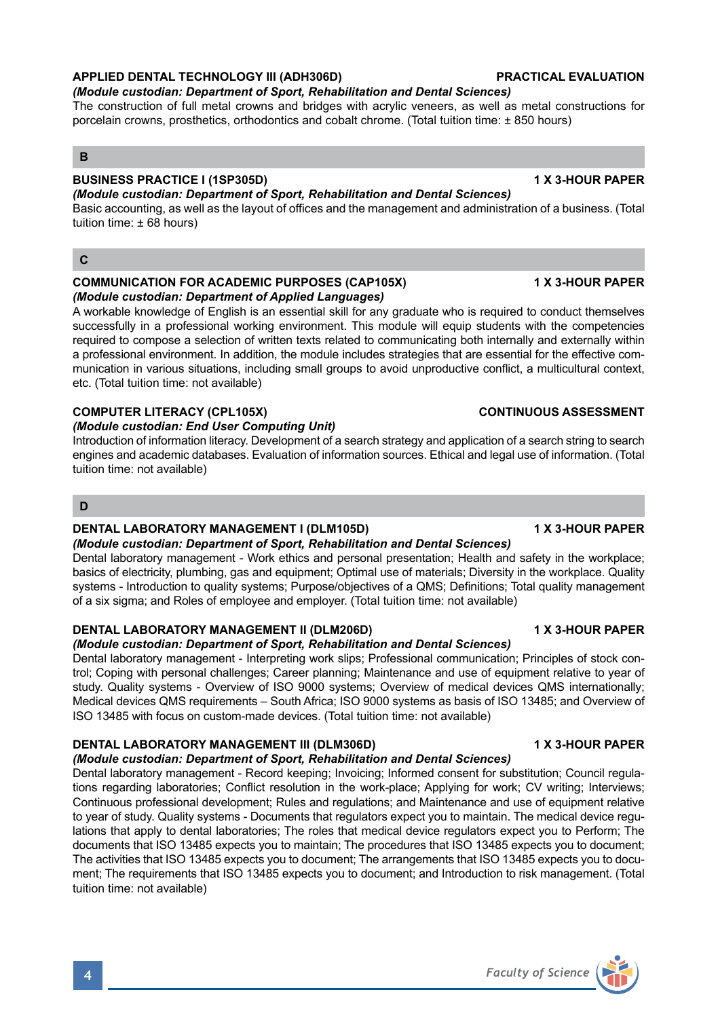# **APPLIED DENTAL TECHNOLOGY III (ADH306D) PRACTICAL EVALUATION**

# *(Module custodian: Department of Sport, Rehabilitation and Dental Sciences)*

The construction of full metal crowns and bridges with acrylic veneers, as well as metal constructions for porcelain crowns, prosthetics, orthodontics and cobalt chrome. (Total tuition time: ± 850 hours)

### **B**

### **BUSINESS PRACTICE I (1SP305D) 1 X 3-HOUR PAPER**

*(Module custodian: Department of Sport, Rehabilitation and Dental Sciences)* Basic accounting, as well as the layout of offices and the management and administration of a business. (Total tuition time: ± 68 hours)

### **C**

### **COMMUNICATION FOR ACADEMIC PURPOSES (CAP105X) 1 X 3-HOUR PAPER** *(Module custodian: Department of Applied Languages)*

A workable knowledge of English is an essential skill for any graduate who is required to conduct themselves successfully in a professional working environment. This module will equip students with the competencies required to compose a selection of written texts related to communicating both internally and externally within a professional environment. In addition, the module includes strategies that are essential for the effective communication in various situations, including small groups to avoid unproductive conflict, a multicultural context, etc. (Total tuition time: not available)

### **COMPUTER LITERACY (CPL105X)** COMPUTER LITERACY (CPL105X)

### *(Module custodian: End User Computing Unit)*

Introduction of information literacy. Development of a search strategy and application of a search string to search engines and academic databases. Evaluation of information sources. Ethical and legal use of information. (Total tuition time: not available)

### **D**

### **DENTAL LABORATORY MANAGEMENT I (DLM105D) 1 X 3-HOUR PAPER**

### *(Module custodian: Department of Sport, Rehabilitation and Dental Sciences)*

Dental laboratory management - Work ethics and personal presentation; Health and safety in the workplace; basics of electricity, plumbing, gas and equipment; Optimal use of materials; Diversity in the workplace. Quality systems - Introduction to quality systems; Purpose/objectives of a QMS; Definitions; Total quality management of a six sigma; and Roles of employee and employer. (Total tuition time: not available)

### **DENTAL LABORATORY MANAGEMENT II (DLM206D) 1 X 3-HOUR PAPER**

### *(Module custodian: Department of Sport, Rehabilitation and Dental Sciences)*

Dental laboratory management - Interpreting work slips; Professional communication; Principles of stock control; Coping with personal challenges; Career planning; Maintenance and use of equipment relative to year of study. Quality systems - Overview of ISO 9000 systems; Overview of medical devices QMS internationally; Medical devices QMS requirements – South Africa; ISO 9000 systems as basis of ISO 13485; and Overview of ISO 13485 with focus on custom-made devices. (Total tuition time: not available)

### **DENTAL LABORATORY MANAGEMENT III (DLM306D) 1 X 3-HOUR PAPER**

*(Module custodian: Department of Sport, Rehabilitation and Dental Sciences)* Dental laboratory management - Record keeping; Invoicing; Informed consent for substitution; Council regulations regarding laboratories; Conflict resolution in the work-place; Applying for work; CV writing; Interviews; Continuous professional development; Rules and regulations; and Maintenance and use of equipment relative to year of study. Quality systems - Documents that regulators expect you to maintain. The medical device regulations that apply to dental laboratories; The roles that medical device regulators expect you to Perform; The documents that ISO 13485 expects you to maintain; The procedures that ISO 13485 expects you to document; The activities that ISO 13485 expects you to document; The arrangements that ISO 13485 expects you to document; The requirements that ISO 13485 expects you to document; and Introduction to risk management. (Total tuition time: not available)

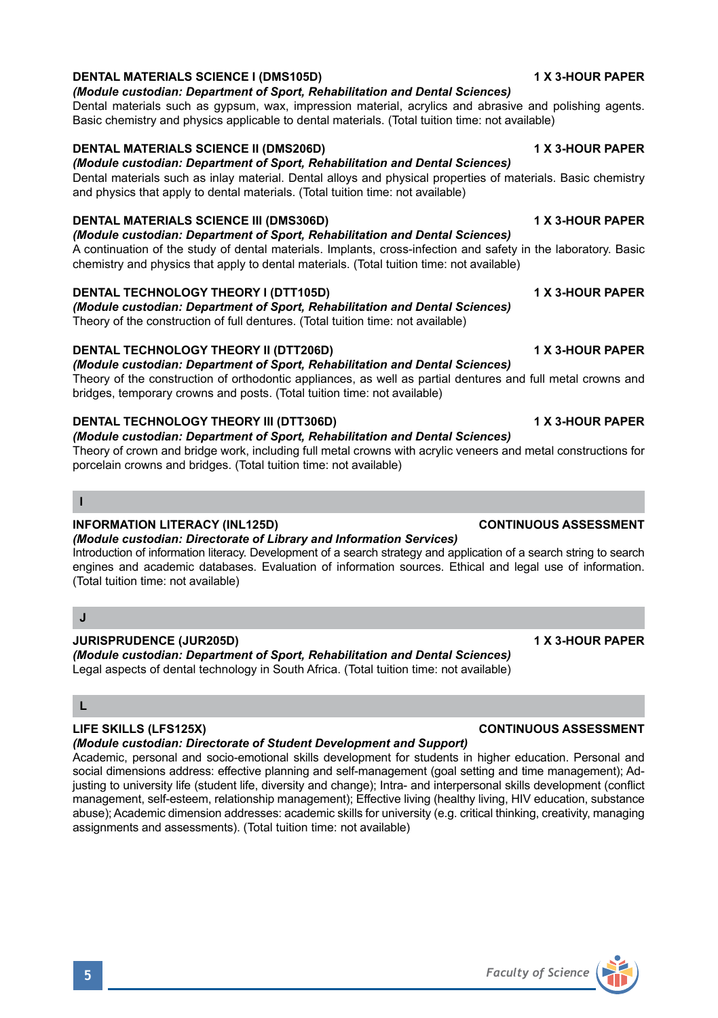## **DENTAL MATERIALS SCIENCE I (DMS105D)** 1 X 3-HOUR PAPER

### *(Module custodian: Department of Sport, Rehabilitation and Dental Sciences)*

Dental materials such as gypsum, wax, impression material, acrylics and abrasive and polishing agents. Basic chemistry and physics applicable to dental materials. (Total tuition time: not available)

### **DENTAL MATERIALS SCIENCE II (DMS206D)** 1 X 3-HOUR PAPER

*(Module custodian: Department of Sport, Rehabilitation and Dental Sciences)* Dental materials such as inlay material. Dental alloys and physical properties of materials. Basic chemistry and physics that apply to dental materials. (Total tuition time: not available)

### **DENTAL MATERIALS SCIENCE III (DMS306D) 1 X 3-HOUR PAPER**

*(Module custodian: Department of Sport, Rehabilitation and Dental Sciences)*

A continuation of the study of dental materials. Implants, cross-infection and safety in the laboratory. Basic chemistry and physics that apply to dental materials. (Total tuition time: not available)

### **DENTAL TECHNOLOGY THEORY I (DTT105D) 1 X 3-HOUR PAPER**

*(Module custodian: Department of Sport, Rehabilitation and Dental Sciences)* Theory of the construction of full dentures. (Total tuition time: not available)

### **DENTAL TECHNOLOGY THEORY II (DTT206D)** 1 X 3-HOUR PAPER

*(Module custodian: Department of Sport, Rehabilitation and Dental Sciences)*

Theory of the construction of orthodontic appliances, as well as partial dentures and full metal crowns and bridges, temporary crowns and posts. (Total tuition time: not available)

### **DENTAL TECHNOLOGY THEORY III (DTT306D) 1 X 3-HOUR PAPER**

### *(Module custodian: Department of Sport, Rehabilitation and Dental Sciences)*

Theory of crown and bridge work, including full metal crowns with acrylic veneers and metal constructions for porcelain crowns and bridges. (Total tuition time: not available)

### **I**

### **INFORMATION LITERACY (INL125D) CONTINUOUS ASSESSMENT**

*(Module custodian: Directorate of Library and Information Services)*

Introduction of information literacy. Development of a search strategy and application of a search string to search engines and academic databases. Evaluation of information sources. Ethical and legal use of information. (Total tuition time: not available)

### **J**

**JURISPRUDENCE (JUR205D) 1 X 3-HOUR PAPER** *(Module custodian: Department of Sport, Rehabilitation and Dental Sciences)* Legal aspects of dental technology in South Africa. (Total tuition time: not available)

# **L**

*(Module custodian: Directorate of Student Development and Support)*

Academic, personal and socio-emotional skills development for students in higher education. Personal and social dimensions address: effective planning and self-management (goal setting and time management); Adjusting to university life (student life, diversity and change); Intra- and interpersonal skills development (conflict management, self-esteem, relationship management); Effective living (healthy living, HIV education, substance abuse); Academic dimension addresses: academic skills for university (e.g. critical thinking, creativity, managing assignments and assessments). (Total tuition time: not available)

### **LIFE SKILLS (LFS125X) CONTINUOUS ASSESSMENT**